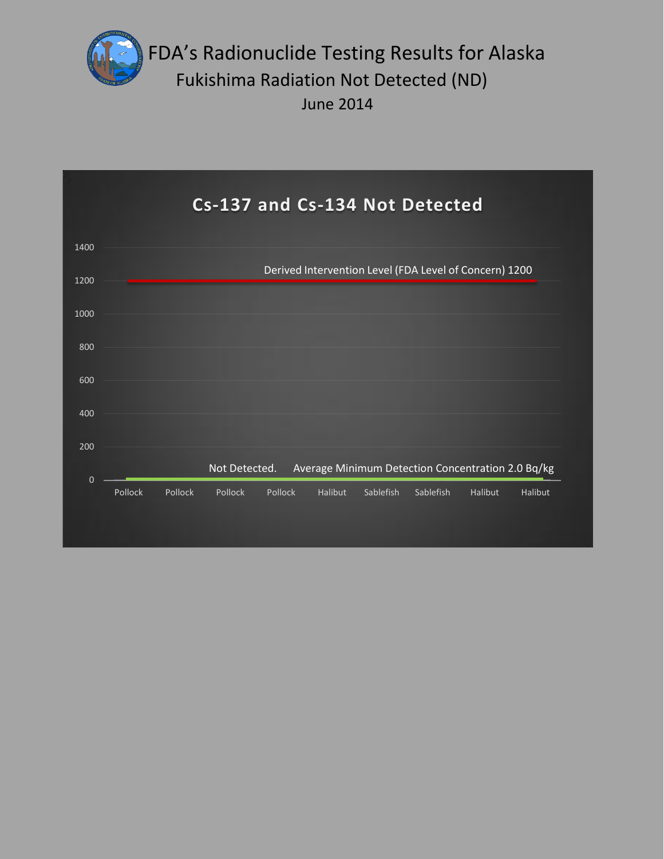

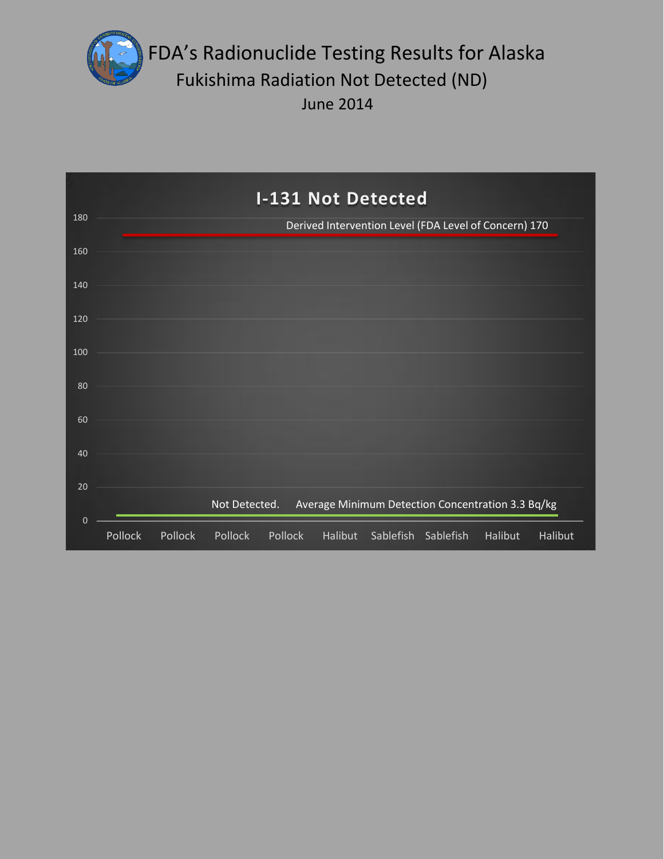